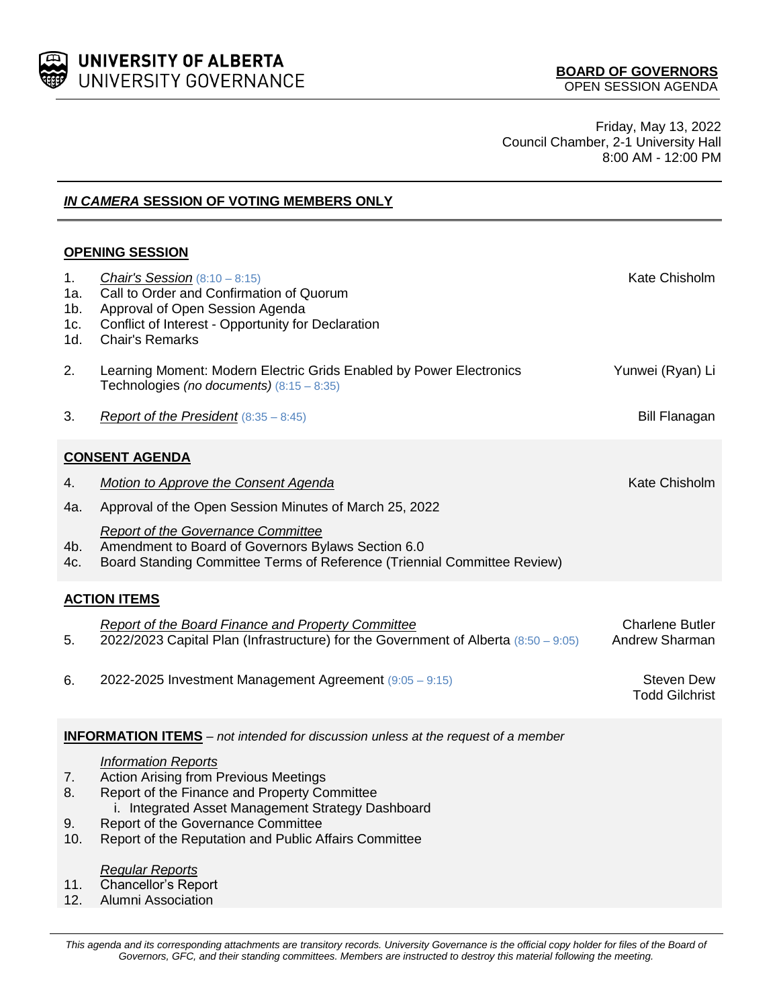

Friday, May 13, 2022 Council Chamber, 2-1 University Hall 8:00 AM - 12:00 PM

*IN CAMERA* **SESSION OF VOTING MEMBERS ONLY**

# **OPENING SESSION**

| 1.<br>1a.<br>1 <sub>b</sub><br>1c.<br>1d.                                                | <b>Chair's Session</b> $(8:10 - 8:15)$<br>Call to Order and Confirmation of Quorum<br>Approval of Open Session Agenda<br>Conflict of Interest - Opportunity for Declaration<br><b>Chair's Remarks</b> | Kate Chisholm                              |  |
|------------------------------------------------------------------------------------------|-------------------------------------------------------------------------------------------------------------------------------------------------------------------------------------------------------|--------------------------------------------|--|
| 2.                                                                                       | Learning Moment: Modern Electric Grids Enabled by Power Electronics<br>Technologies (no documents) $(8:15 - 8:35)$                                                                                    | Yunwei (Ryan) Li                           |  |
| 3.                                                                                       | Report of the President $(8:35 - 8:45)$                                                                                                                                                               | <b>Bill Flanagan</b>                       |  |
| <b>CONSENT AGENDA</b>                                                                    |                                                                                                                                                                                                       |                                            |  |
| 4.                                                                                       | <b>Motion to Approve the Consent Agenda</b>                                                                                                                                                           | Kate Chisholm                              |  |
| 4a.                                                                                      | Approval of the Open Session Minutes of March 25, 2022                                                                                                                                                |                                            |  |
| 4b.<br>4c.                                                                               | <b>Report of the Governance Committee</b><br>Amendment to Board of Governors Bylaws Section 6.0<br>Board Standing Committee Terms of Reference (Triennial Committee Review)                           |                                            |  |
| <b>ACTION ITEMS</b>                                                                      |                                                                                                                                                                                                       |                                            |  |
| 5.                                                                                       | <b>Report of the Board Finance and Property Committee</b><br>2022/2023 Capital Plan (Infrastructure) for the Government of Alberta (8:50 - 9:05)                                                      | <b>Charlene Butler</b><br>Andrew Sharman   |  |
| 6.                                                                                       | 2022-2025 Investment Management Agreement (9:05 - 9:15)                                                                                                                                               | <b>Steven Dew</b><br><b>Todd Gilchrist</b> |  |
| <b>INFORMATION ITEMS</b> – not intended for discussion unless at the request of a member |                                                                                                                                                                                                       |                                            |  |
|                                                                                          | Information Reports                                                                                                                                                                                   |                                            |  |

- 7. Action Arising from Previous Meetings
- 8. Report of the Finance and Property Committee
	- i. Integrated Asset Management Strategy Dashboard
- 9. Report of the Governance Committee
- 10. Report of the Reputation and Public Affairs Committee

## *Regular Reports*

- 11. Chancellor's Report
- 12. Alumni Association

This agenda and its corresponding attachments are transitory records. University Governance is the official copy holder for files of the Board of *Governors, GFC, and their standing committees. Members are instructed to destroy this material following the meeting.*